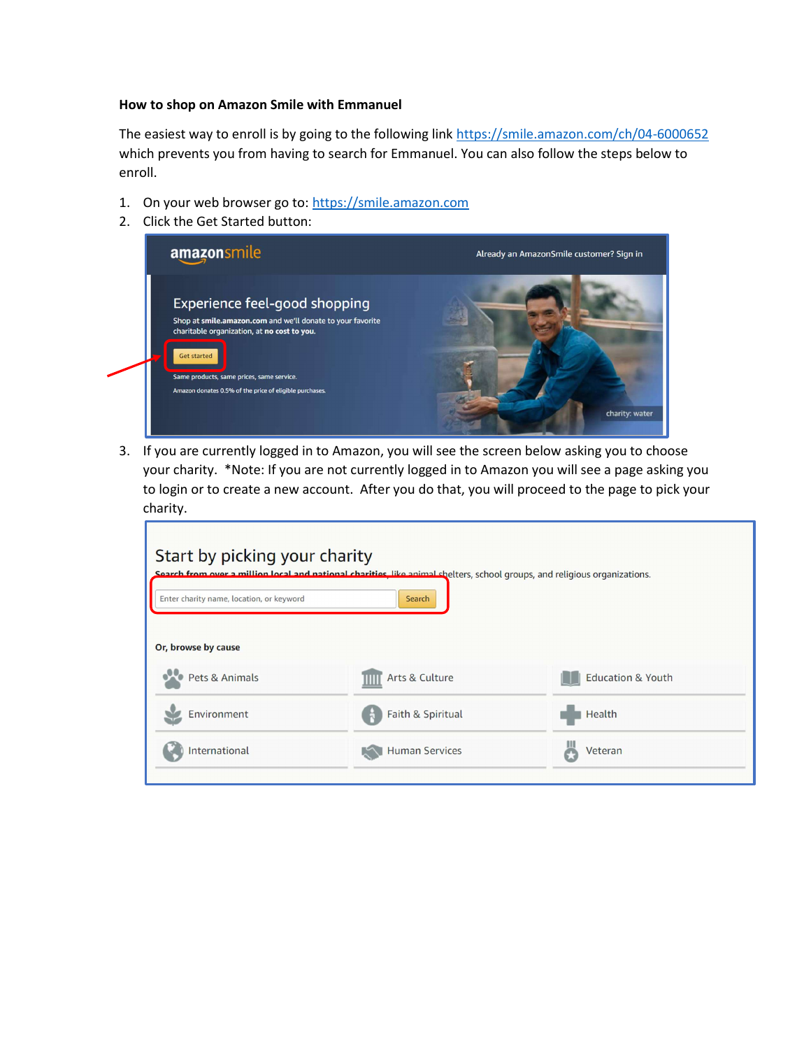## How to shop on Amazon Smile with Emmanuel

The easiest way to enroll is by going to the following link https://smile.amazon.com/ch/04-6000652 which prevents you from having to search for Emmanuel. You can also follow the steps below to enroll.

- 1. On your web browser go to: https://smile.amazon.com
- 2. Click the Get Started button:



3. If you are currently logged in to Amazon, you will see the screen below asking you to choose your charity. \*Note: If you are not currently logged in to Amazon you will see a page asking you to login or to create a new account. After you do that, you will proceed to the page to pick your charity.

| Start by picking your charity                                                                                                                                                    |                       |                              |  |  |
|----------------------------------------------------------------------------------------------------------------------------------------------------------------------------------|-----------------------|------------------------------|--|--|
| Search from over a million local and national charities, like animal shelters, school groups, and religious organizations.<br>Enter charity name, location, or keyword<br>Search |                       |                              |  |  |
|                                                                                                                                                                                  |                       |                              |  |  |
| Or, browse by cause                                                                                                                                                              |                       |                              |  |  |
| Pets & Animals                                                                                                                                                                   | Arts & Culture        | <b>Education &amp; Youth</b> |  |  |
| Environment                                                                                                                                                                      | Faith & Spiritual     | Health                       |  |  |
|                                                                                                                                                                                  | <b>Human Services</b> | Veteran                      |  |  |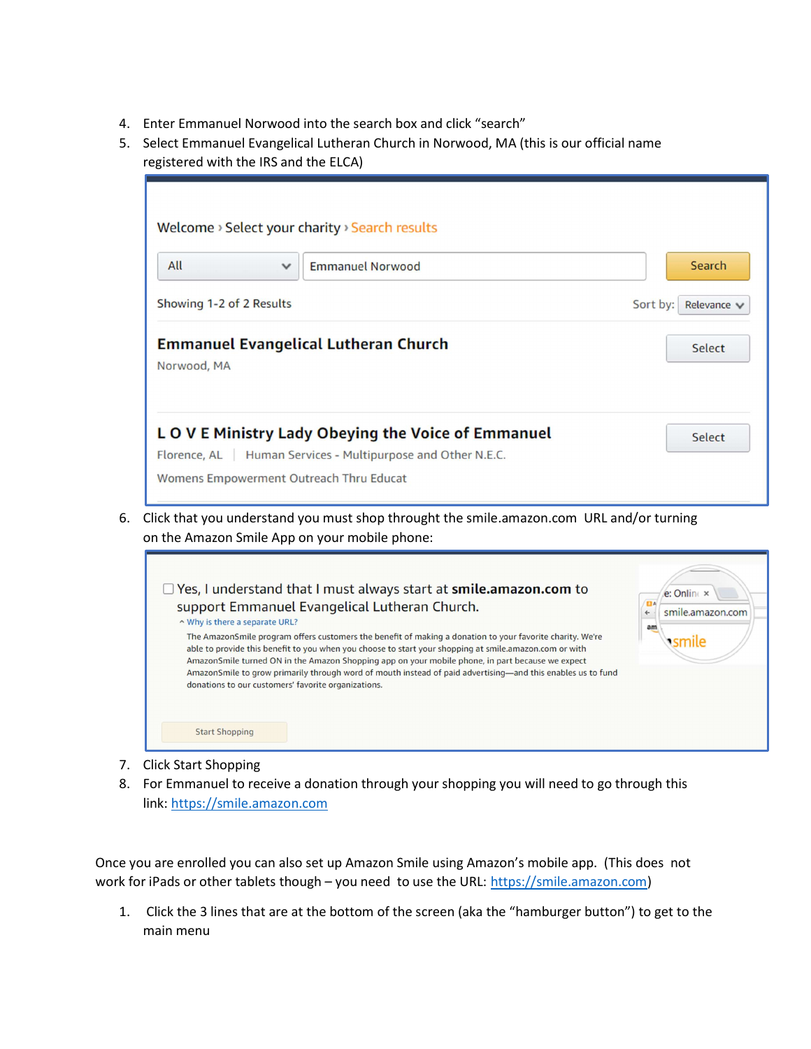- 4. Enter Emmanuel Norwood into the search box and click "search"
- 5. Select Emmanuel Evangelical Lutheran Church in Norwood, MA (this is our official name registered with the IRS and the ELCA)

| All<br>$\checkmark$                     | <b>Emmanuel Norwood</b>                                                                                                                   | <b>Search</b>         |
|-----------------------------------------|-------------------------------------------------------------------------------------------------------------------------------------------|-----------------------|
| Showing 1-2 of 2 Results                |                                                                                                                                           | Sort by:<br>Relevance |
| Norwood, MA                             | <b>Emmanuel Evangelical Lutheran Church</b>                                                                                               | Select                |
|                                         | LOVE Ministry Lady Obeying the Voice of Emmanuel<br>Florence, AL   Human Services - Multipurpose and Other N.E.C.                         | Select                |
| Womens Empowerment Outreach Thru Educat |                                                                                                                                           |                       |
|                                         | Click that you understand you must shop throught the smile.amazon.com URL and/or turning<br>on the Amazon Smile App on your mobile phone: |                       |
|                                         |                                                                                                                                           |                       |

7. Click Start Shopping

**Start Shopping** 

donations to our customers' favorite organizations.

8. For Emmanuel to receive a donation through your shopping you will need to go through this link: https://smile.amazon.com

AmazonSmile to grow primarily through word of mouth instead of paid advertising—and this enables us to fund

Once you are enrolled you can also set up Amazon Smile using Amazon's mobile app. (This does not work for iPads or other tablets though – you need to use the URL: https://smile.amazon.com)

1. Click the 3 lines that are at the bottom of the screen (aka the "hamburger button") to get to the main menu